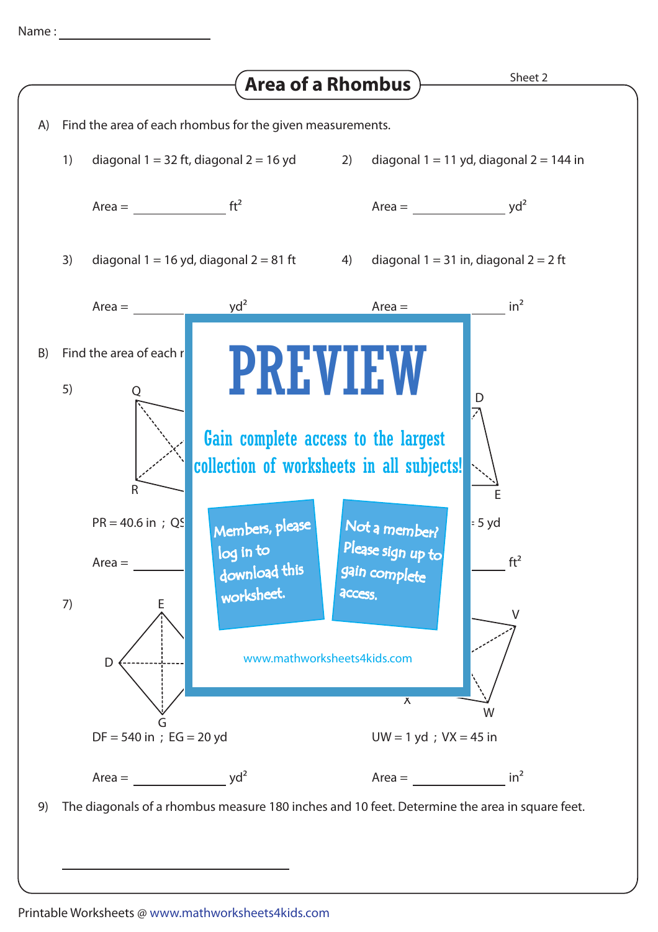